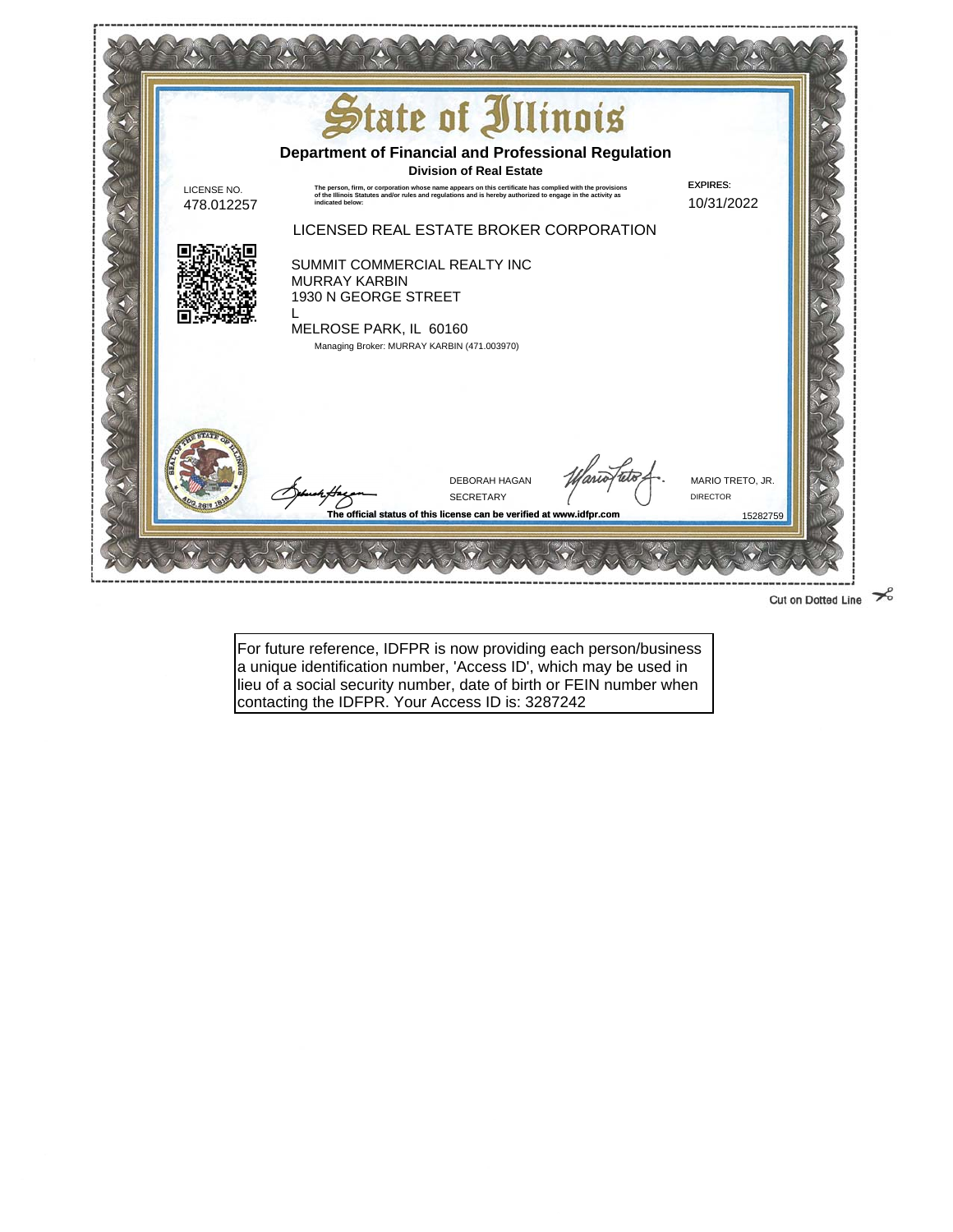

Cut on Dotted Line  $\approx$ 

For future reference, IDFPR is now providing each person/business a unique identification number, 'Access ID', which may be used in lieu of a social security number, date of birth or FEIN number when contacting the IDFPR. Your Access ID is: 3287242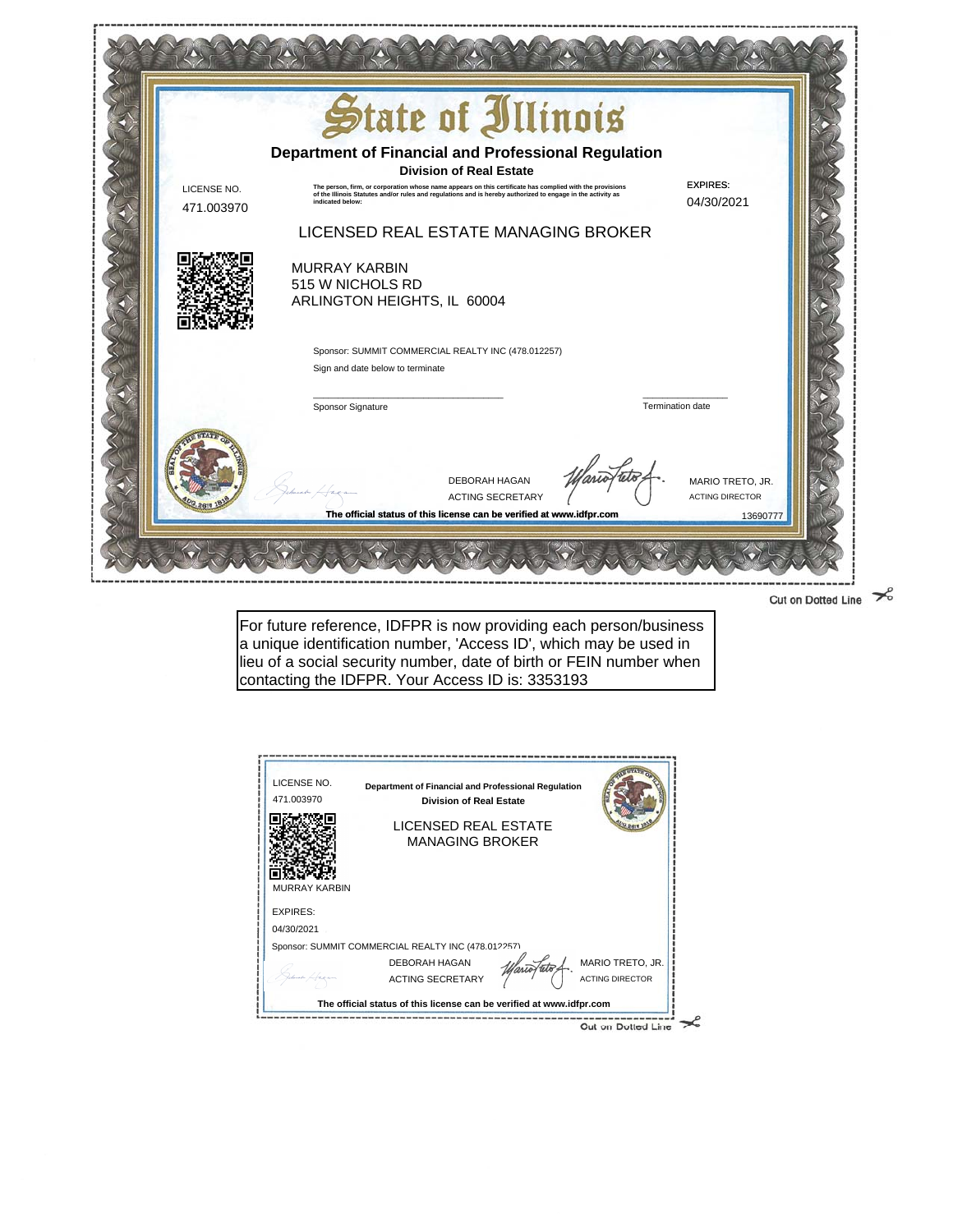

Cut on Dotted Line  $\mathcal{S}$ 

For future reference, IDFPR is now providing each person/business a unique identification number, 'Access ID', which may be used in lieu of a social security number, date of birth or FEIN number when contacting the IDFPR. Your Access ID is: 3353193

| LICENSE NO.<br>471.003970 | Department of Financial and Professional Regulation<br><b>Division of Real Estate</b> |                        |
|---------------------------|---------------------------------------------------------------------------------------|------------------------|
|                           | LICENSED REAL ESTATE<br><b>MANAGING BROKER</b>                                        |                        |
|                           |                                                                                       |                        |
| <b>MURRAY KARBIN</b>      |                                                                                       |                        |
| <b>EXPIRES:</b>           |                                                                                       |                        |
| 04/30/2021                |                                                                                       |                        |
|                           | Sponsor: SUMMIT COMMERCIAL REALTY INC (478.012257)                                    |                        |
|                           | DEBORAH HAGAN                                                                         | MARIO TRETO, JR.       |
|                           | <b>ACTING SECRETARY</b>                                                               | <b>ACTING DIRECTOR</b> |
|                           | The official status of this license can be verified at www.idfpr.com                  |                        |
|                           |                                                                                       | Cut on Dotted Line     |